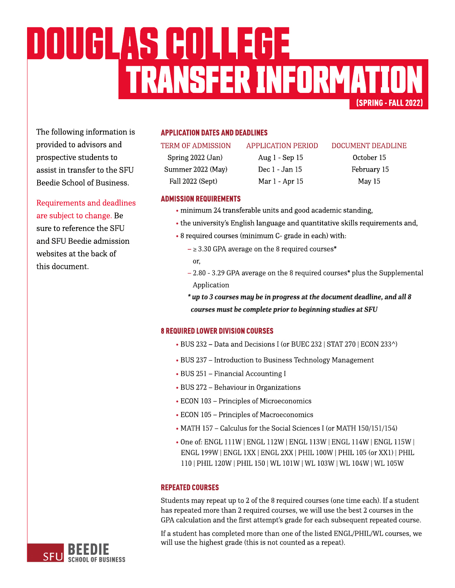# (SPRING-FALL2022) TRANSFERINFORMATION DOUGLAS GOLLEGE

The following information is provided to advisors and prospective students to assist in transfer to the SFU Beedie School of Business.

Requirements and deadlines are subject to change. Be sure to reference the SFU and SFU Beedie admission websites at the back of this document.

# **APPLICATION DATES AND DEADLINES**

Spring 2022 (Jan) Aug 1 - Sep 15 October 15 Summer 2022 (May) Dec 1 - Jan 15 February 15 Fall 2022 (Sept) Mar 1 - Apr 15 May 15

#### TERM OF ADMISSION APPLICATION PERIOD DOCUMENT DEADLINE

# **ADMISSION REQUIREMENTS**

- minimum 24 transferable units and good academic standing,
- the university's [English](https://www.sfu.ca/students/admission/admission-requirements/english-language-requirement.html) [language](https://www.sfu.ca/students/admission/admission-requirements/english-language-requirement.html) and quantitative skills requirements and,
- 8 required courses (minimum C- grade in each) with:
	- $\geq$  3.30 GPA average on the 8 required courses\* or,
	- $2.80 3.29$  GPA average on the 8 required courses\* plus the Supplemental Application
	- **\* upto3coursesmay bein progressat thedocument deadline,andall8** *courses must be complete prior to beginning studies at SFU*

# **8 REQUIRED LOWER DIVISION COURSES**

- BUS 232 Data and Decisions I (or BUEC 232 | STAT 270 | ECON 233^)
- BUS 237 Introduction to Business Technology Management
- BUS 251 Financial Accounting I
- BUS 272 Behaviour in Organizations
- ECON 103 Principles of Microeconomics
- ECON 105 Principles of Macroeconomics
- MATH 157 Calculus for the Social Sciences I (or MATH 150/151/154)
- Oneof: ENGL 111W |ENGL 112W | ENGL 113W | ENGL 114W | ENGL 115W | ENGL 199W |ENGL 1XX|ENGL 2XX| PHIL 100W |PHIL 105(or XX1) |PHIL 110| PHIL 120W |PHIL 150| WL 101W | WL 103W | WL 104W | WL105W

# **REPEATED COURSES**

Students may repeat up to 2 of the 8 required courses (one time each). If a student has repeated more than 2 required courses, we will use the best 2 courses in the GPA calculation and the first attempt's grade for each subsequent repeated course.

If a student has completed more than one of the listed ENGL/PHIL/WL courses, we will use the highest grade (this is not counted as a repeat).